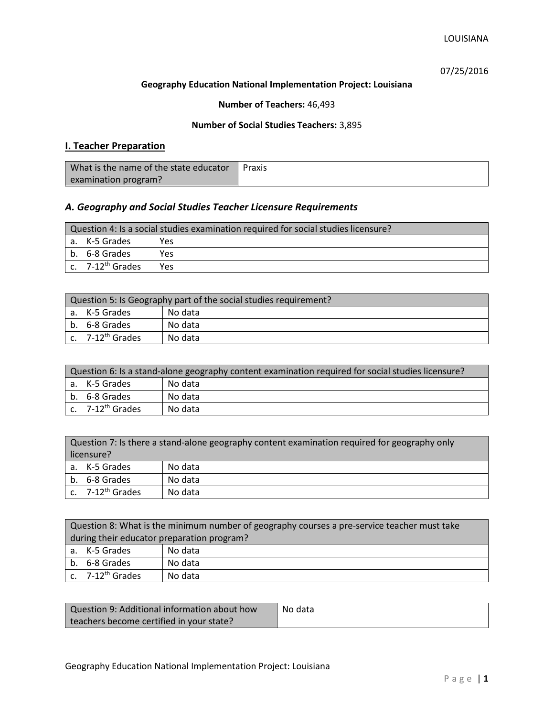07/25/2016

### **Geography Education National Implementation Project: Louisiana**

## **Number of Teachers:** 46,493

### **Number of Social Studies Teachers:** 3,895

# **I. Teacher Preparation**

| What is the name of the state educator | Praxis |
|----------------------------------------|--------|
| examination program?                   |        |

## *A. Geography and Social Studies Teacher Licensure Requirements*

| Question 4: Is a social studies examination required for social studies licensure? |                       |            |
|------------------------------------------------------------------------------------|-----------------------|------------|
|                                                                                    | a. K-5 Grades         | <b>Yes</b> |
|                                                                                    | b. 6-8 Grades         | Yes        |
|                                                                                    | c. $7-12^{th}$ Grades | <b>Yes</b> |

| Question 5: Is Geography part of the social studies requirement? |                                |         |
|------------------------------------------------------------------|--------------------------------|---------|
|                                                                  | a. K-5 Grades                  | No data |
|                                                                  | b. 6-8 Grades                  | No data |
|                                                                  | $c.$ 7-12 <sup>th</sup> Grades | No data |

| Question 6: Is a stand-alone geography content examination required for social studies licensure? |                              |         |  |
|---------------------------------------------------------------------------------------------------|------------------------------|---------|--|
|                                                                                                   | a. K-5 Grades                | No data |  |
|                                                                                                   | b. 6-8 Grades                | No data |  |
|                                                                                                   | c. 7-12 <sup>th</sup> Grades | No data |  |

| Question 7: Is there a stand-alone geography content examination required for geography only<br>licensure? |                       |         |
|------------------------------------------------------------------------------------------------------------|-----------------------|---------|
|                                                                                                            | a. K-5 Grades         | No data |
|                                                                                                            | b. 6-8 Grades         | No data |
|                                                                                                            | c. $7-12^{th}$ Grades | No data |

|                                            | Question 8: What is the minimum number of geography courses a pre-service teacher must take |         |  |
|--------------------------------------------|---------------------------------------------------------------------------------------------|---------|--|
| during their educator preparation program? |                                                                                             |         |  |
|                                            | a. K-5 Grades                                                                               | No data |  |
|                                            | b. 6-8 Grades                                                                               | No data |  |
|                                            | c. $7-12^{th}$ Grades                                                                       | No data |  |

| Question 9: Additional information about how | No data |
|----------------------------------------------|---------|
| teachers become certified in your state?     |         |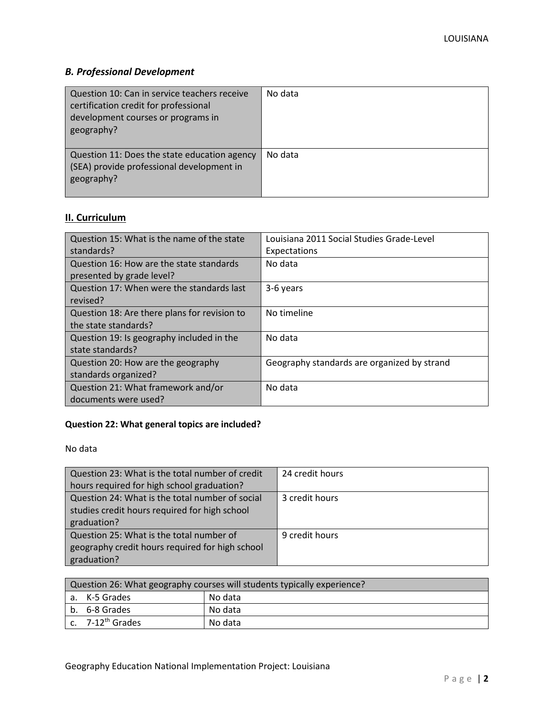# *B. Professional Development*

| Question 10: Can in service teachers receive<br>certification credit for professional<br>development courses or programs in<br>geography? | No data |
|-------------------------------------------------------------------------------------------------------------------------------------------|---------|
| Question 11: Does the state education agency<br>(SEA) provide professional development in<br>geography?                                   | No data |

# **II. Curriculum**

| Question 15: What is the name of the state   | Louisiana 2011 Social Studies Grade-Level   |
|----------------------------------------------|---------------------------------------------|
| standards?                                   | Expectations                                |
| Question 16: How are the state standards     | No data                                     |
| presented by grade level?                    |                                             |
| Question 17: When were the standards last    | 3-6 years                                   |
| revised?                                     |                                             |
| Question 18: Are there plans for revision to | No timeline                                 |
| the state standards?                         |                                             |
| Question 19: Is geography included in the    | No data                                     |
| state standards?                             |                                             |
| Question 20: How are the geography           | Geography standards are organized by strand |
| standards organized?                         |                                             |
| Question 21: What framework and/or           | No data                                     |
| documents were used?                         |                                             |

# **Question 22: What general topics are included?**

No data

| Question 23: What is the total number of credit | 24 credit hours |
|-------------------------------------------------|-----------------|
| hours required for high school graduation?      |                 |
| Question 24: What is the total number of social | 3 credit hours  |
| studies credit hours required for high school   |                 |
| graduation?                                     |                 |
| Question 25: What is the total number of        | 9 credit hours  |
| geography credit hours required for high school |                 |
| graduation?                                     |                 |

| Question 26: What geography courses will students typically experience? |                              |         |
|-------------------------------------------------------------------------|------------------------------|---------|
|                                                                         | l a. K-5 Grades              | No data |
|                                                                         | b. 6-8 Grades                | No data |
|                                                                         | c. 7-12 <sup>th</sup> Grades | No data |